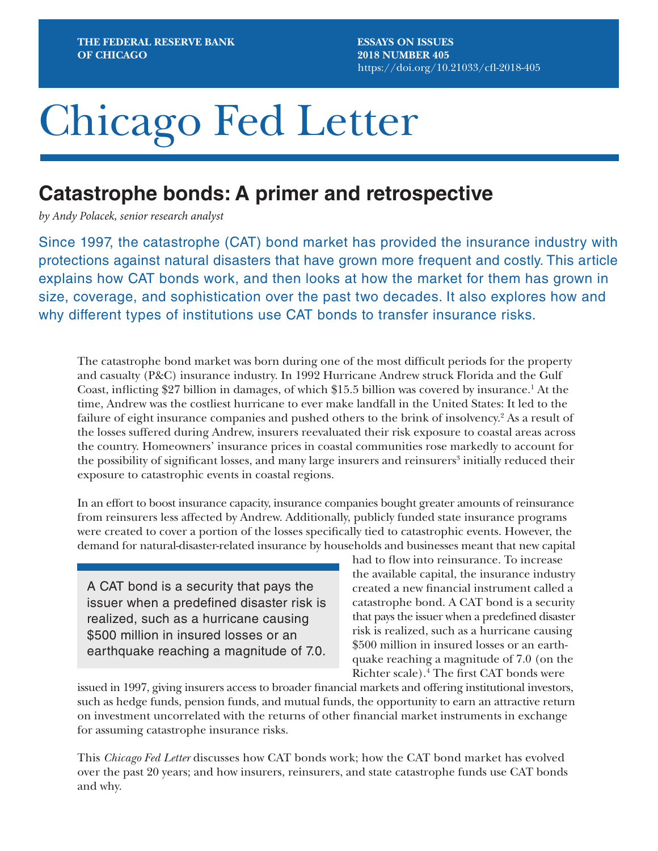**ESSAYS ON ISSUES 2018 NUMBER 405** <https://doi.org/10.21033/cfl-2018-405>

# Chicago Fed Letter

## **Catastrophe bonds: A primer and retrospective**

*by Andy Polacek, senior research analyst*

Since 1997, the catastrophe (CAT) bond market has provided the insurance industry with protections against natural disasters that have grown more frequent and costly. This article explains how CAT bonds work, and then looks at how the market for them has grown in size, coverage, and sophistication over the past two decades. It also explores how and why different types of institutions use CAT bonds to transfer insurance risks.

The catastrophe bond market was born during one of the most difficult periods for the property and casualty (P&C) insurance industry. In 1992 Hurricane Andrew struck Florida and the Gulf Coast, inflicting \$27 billion in damages, of which \$15.5 billion was covered by insurance.<sup>1</sup> At the time, Andrew was the costliest hurricane to ever make landfall in the United States: It led to the failure of eight insurance companies and pushed others to the brink of insolvency.<sup>2</sup> As a result of the losses suffered during Andrew, insurers reevaluated their risk exposure to coastal areas across the country. Homeowners' insurance prices in coastal communities rose markedly to account for the possibility of significant losses, and many large insurers and reinsurers<sup>3</sup> initially reduced their exposure to catastrophic events in coastal regions.

In an effort to boost insurance capacity, insurance companies bought greater amounts of reinsurance from reinsurers less affected by Andrew. Additionally, publicly funded state insurance programs were created to cover a portion of the losses specifically tied to catastrophic events. However, the demand for natural-disaster-related insurance by households and businesses meant that new capital

A CAT bond is a security that pays the issuer when a predefined disaster risk is realized, such as a hurricane causing \$500 million in insured losses or an earthquake reaching a magnitude of 7.0.

had to flow into reinsurance. To increase the available capital, the insurance industry created a new financial instrument called a catastrophe bond. A CAT bond is a security that pays the issuer when a predefined disaster risk is realized, such as a hurricane causing \$500 million in insured losses or an earthquake reaching a magnitude of 7.0 (on the Richter scale).4 The first CAT bonds were

issued in 1997, giving insurers access to broader financial markets and offering institutional investors, such as hedge funds, pension funds, and mutual funds, the opportunity to earn an attractive return on investment uncorrelated with the returns of other financial market instruments in exchange for assuming catastrophe insurance risks.

This *Chicago Fed Letter* discusses how CAT bonds work; how the CAT bond market has evolved over the past 20 years; and how insurers, reinsurers, and state catastrophe funds use CAT bonds and why.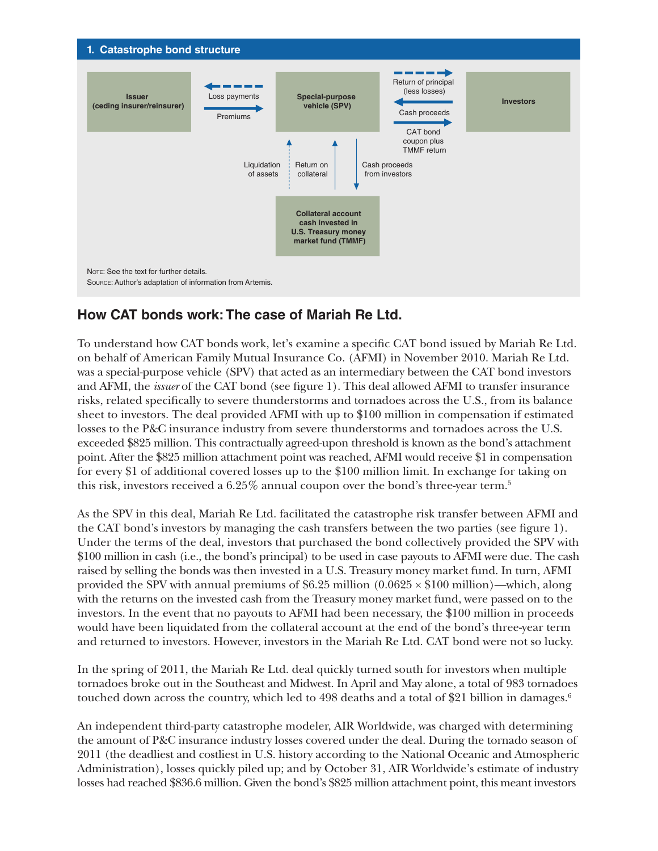

## **How CAT bonds work: The case of Mariah Re Ltd.**

To understand how CAT bonds work, let's examine a specific CAT bond issued by Mariah Re Ltd. on behalf of American Family Mutual Insurance Co. (AFMI) in November 2010. Mariah Re Ltd. was a special-purpose vehicle (SPV) that acted as an intermediary between the CAT bond investors and AFMI, the *issuer* of the CAT bond (see figure 1). This deal allowed AFMI to transfer insurance risks, related specifically to severe thunderstorms and tornadoes across the U.S., from its balance sheet to investors. The deal provided AFMI with up to \$100 million in compensation if estimated losses to the P&C insurance industry from severe thunderstorms and tornadoes across the U.S. exceeded \$825 million. This contractually agreed-upon threshold is known as the bond's attachment point. After the \$825 million attachment point was reached, AFMI would receive \$1 in compensation for every \$1 of additional covered losses up to the \$100 million limit. In exchange for taking on this risk, investors received a  $6.25\%$  annual coupon over the bond's three-year term.<sup>5</sup>

As the SPV in this deal, Mariah Re Ltd. facilitated the catastrophe risk transfer between AFMI and the CAT bond's investors by managing the cash transfers between the two parties (see figure 1). Under the terms of the deal, investors that purchased the bond collectively provided the SPV with \$100 million in cash (i.e., the bond's principal) to be used in case payouts to AFMI were due. The cash raised by selling the bonds was then invested in a U.S. Treasury money market fund. In turn, AFMI provided the SPV with annual premiums of  $$6.25$  million  $(0.0625 \times $100$  million)—which, along with the returns on the invested cash from the Treasury money market fund, were passed on to the investors. In the event that no payouts to AFMI had been necessary, the \$100 million in proceeds would have been liquidated from the collateral account at the end of the bond's three-year term and returned to investors. However, investors in the Mariah Re Ltd. CAT bond were not so lucky.

In the spring of 2011, the Mariah Re Ltd. deal quickly turned south for investors when multiple tornadoes broke out in the Southeast and Midwest. In April and May alone, a total of 983 tornadoes touched down across the country, which led to 498 deaths and a total of \$21 billion in damages.<sup>6</sup>

An independent third-party catastrophe modeler, AIR Worldwide, was charged with determining the amount of P&C insurance industry losses covered under the deal. During the tornado season of 2011 (the deadliest and costliest in U.S. history according to the National Oceanic and Atmospheric Administration), losses quickly piled up; and by October 31, AIR Worldwide's estimate of industry losses had reached \$836.6 million. Given the bond's \$825 million attachment point, this meant investors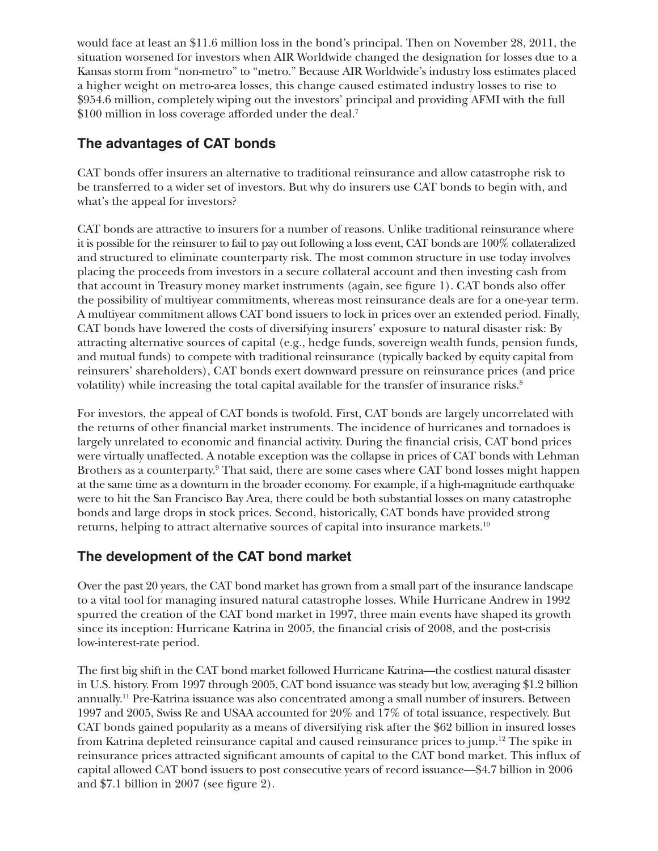would face at least an \$11.6 million loss in the bond's principal. Then on November 28, 2011, the situation worsened for investors when AIR Worldwide changed the designation for losses due to a Kansas storm from "non-metro" to "metro." Because AIR Worldwide's industry loss estimates placed a higher weight on metro-area losses, this change caused estimated industry losses to rise to \$954.6 million, completely wiping out the investors' principal and providing AFMI with the full \$100 million in loss coverage afforded under the deal.<sup>7</sup>

### **The advantages of CAT bonds**

CAT bonds offer insurers an alternative to traditional reinsurance and allow catastrophe risk to be transferred to a wider set of investors. But why do insurers use CAT bonds to begin with, and what's the appeal for investors?

CAT bonds are attractive to insurers for a number of reasons. Unlike traditional reinsurance where it is possible for the reinsurer to fail to pay out following a loss event, CAT bonds are 100% collateralized and structured to eliminate counterparty risk. The most common structure in use today involves placing the proceeds from investors in a secure collateral account and then investing cash from that account in Treasury money market instruments (again, see figure 1). CAT bonds also offer the possibility of multiyear commitments, whereas most reinsurance deals are for a one-year term. A multiyear commitment allows CAT bond issuers to lock in prices over an extended period. Finally, CAT bonds have lowered the costs of diversifying insurers' exposure to natural disaster risk: By attracting alternative sources of capital (e.g., hedge funds, sovereign wealth funds, pension funds, and mutual funds) to compete with traditional reinsurance (typically backed by equity capital from reinsurers' shareholders), CAT bonds exert downward pressure on reinsurance prices (and price volatility) while increasing the total capital available for the transfer of insurance risks.<sup>8</sup>

For investors, the appeal of CAT bonds is twofold. First, CAT bonds are largely uncorrelated with the returns of other financial market instruments. The incidence of hurricanes and tornadoes is largely unrelated to economic and financial activity. During the financial crisis, CAT bond prices were virtually unaffected. A notable exception was the collapse in prices of CAT bonds with Lehman Brothers as a counterparty.<sup>9</sup> That said, there are some cases where CAT bond losses might happen at the same time as a downturn in the broader economy. For example, if a high-magnitude earthquake were to hit the San Francisco Bay Area, there could be both substantial losses on many catastrophe bonds and large drops in stock prices. Second, historically, CAT bonds have provided strong returns, helping to attract alternative sources of capital into insurance markets.10

### **The development of the CAT bond market**

Over the past 20 years, the CAT bond market has grown from a small part of the insurance landscape to a vital tool for managing insured natural catastrophe losses. While Hurricane Andrew in 1992 spurred the creation of the CAT bond market in 1997, three main events have shaped its growth since its inception: Hurricane Katrina in 2005, the financial crisis of 2008, and the post-crisis low-interest-rate period.

The first big shift in the CAT bond market followed Hurricane Katrina—the costliest natural disaster in U.S. history. From 1997 through 2005, CAT bond issuance was steady but low, averaging \$1.2 billion annually.11 Pre-Katrina issuance was also concentrated among a small number of insurers. Between 1997 and 2005, Swiss Re and USAA accounted for 20% and 17% of total issuance, respectively. But CAT bonds gained popularity as a means of diversifying risk after the \$62 billion in insured losses from Katrina depleted reinsurance capital and caused reinsurance prices to jump.12 The spike in reinsurance prices attracted significant amounts of capital to the CAT bond market. This influx of capital allowed CAT bond issuers to post consecutive years of record issuance—\$4.7 billion in 2006 and \$7.1 billion in 2007 (see figure 2).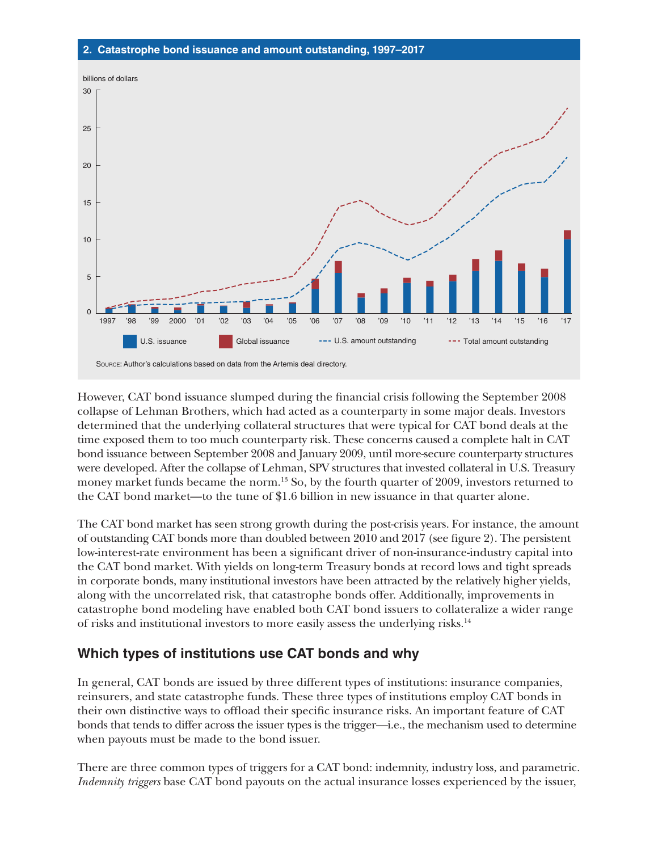

However, CAT bond issuance slumped during the financial crisis following the September 2008 collapse of Lehman Brothers, which had acted as a counterparty in some major deals. Investors determined that the underlying collateral structures that were typical for CAT bond deals at the time exposed them to too much counterparty risk. These concerns caused a complete halt in CAT bond issuance between September 2008 and January 2009, until more-secure counterparty structures were developed. After the collapse of Lehman, SPV structures that invested collateral in U.S. Treasury money market funds became the norm.<sup>13</sup> So, by the fourth quarter of 2009, investors returned to the CAT bond market—to the tune of \$1.6 billion in new issuance in that quarter alone.

The CAT bond market has seen strong growth during the post-crisis years. For instance, the amount of outstanding CAT bonds more than doubled between 2010 and 2017 (see figure 2). The persistent low-interest-rate environment has been a significant driver of non-insurance-industry capital into the CAT bond market. With yields on long-term Treasury bonds at record lows and tight spreads in corporate bonds, many institutional investors have been attracted by the relatively higher yields, along with the uncorrelated risk, that catastrophe bonds offer. Additionally, improvements in catastrophe bond modeling have enabled both CAT bond issuers to collateralize a wider range of risks and institutional investors to more easily assess the underlying risks.14

### **Which types of institutions use CAT bonds and why**

In general, CAT bonds are issued by three different types of institutions: insurance companies, reinsurers, and state catastrophe funds. These three types of institutions employ CAT bonds in their own distinctive ways to offload their specific insurance risks. An important feature of CAT bonds that tends to differ across the issuer types is the trigger—i.e., the mechanism used to determine when payouts must be made to the bond issuer.

There are three common types of triggers for a CAT bond: indemnity, industry loss, and parametric. *Indemnity triggers* base CAT bond payouts on the actual insurance losses experienced by the issuer,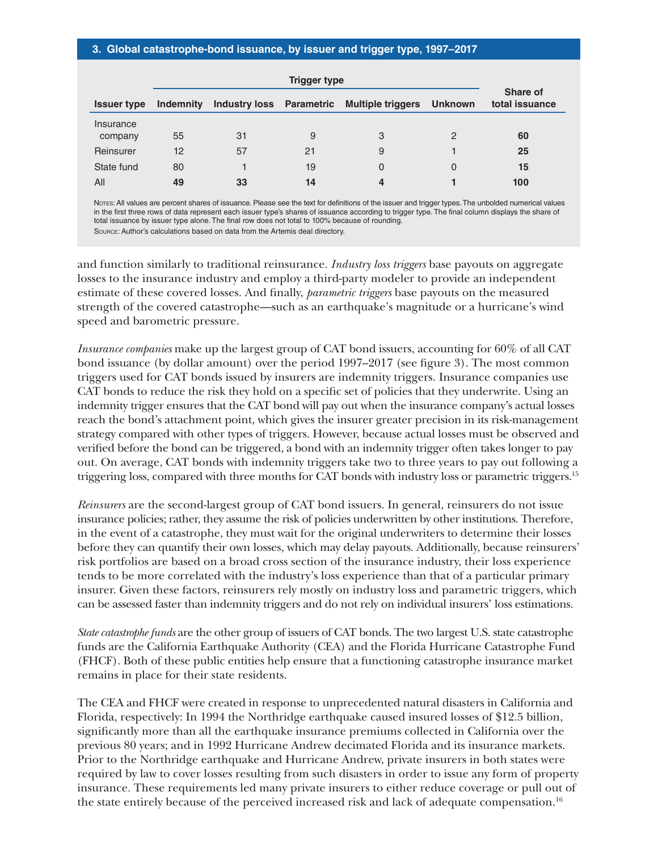#### **3. Global catastrophe-bond issuance, by issuer and trigger type, 1997–2017**

|                    | <b>Trigger type</b> |                          |    |                          |                |                            |
|--------------------|---------------------|--------------------------|----|--------------------------|----------------|----------------------------|
| <b>Issuer type</b> | <b>Indemnity</b>    | Industry loss Parametric |    | <b>Multiple triggers</b> | <b>Unknown</b> | Share of<br>total issuance |
| Insurance          |                     |                          |    |                          |                |                            |
| company            | 55                  | 31                       | 9  | 3                        | 2              | 60                         |
| Reinsurer          | $12 \overline{ }$   | 57                       | 21 | 9                        |                | 25                         |
| State fund         | 80                  |                          | 19 | 0                        | 0              | 15                         |
| All                | 49                  | 33                       | 14 | 4                        |                | 100                        |

Nores: All values are percent shares of issuance. Please see the text for definitions of the issuer and trigger types. The unbolded numerical values in the first three rows of data represent each issuer type's shares of issuance according to trigger type. The final column displays the share of total issuance by issuer type alone. The final row does not total to 100% because of rounding.

Source: Author's calculations based on data from the Artemis deal directory.

and function similarly to traditional reinsurance. *Industry loss triggers* base payouts on aggregate losses to the insurance industry and employ a third-party modeler to provide an independent estimate of these covered losses. And finally, *parametric triggers* base payouts on the measured strength of the covered catastrophe—such as an earthquake's magnitude or a hurricane's wind speed and barometric pressure.

*Insurance companies* make up the largest group of CAT bond issuers, accounting for 60% of all CAT bond issuance (by dollar amount) over the period 1997–2017 (see figure 3). The most common triggers used for CAT bonds issued by insurers are indemnity triggers. Insurance companies use CAT bonds to reduce the risk they hold on a specific set of policies that they underwrite. Using an indemnity trigger ensures that the CAT bond will pay out when the insurance company's actual losses reach the bond's attachment point, which gives the insurer greater precision in its risk-management strategy compared with other types of triggers. However, because actual losses must be observed and verified before the bond can be triggered, a bond with an indemnity trigger often takes longer to pay out. On average, CAT bonds with indemnity triggers take two to three years to pay out following a triggering loss, compared with three months for CAT bonds with industry loss or parametric triggers.15

*Reinsurers* are the second-largest group of CAT bond issuers. In general, reinsurers do not issue insurance policies; rather, they assume the risk of policies underwritten by other institutions. Therefore, in the event of a catastrophe, they must wait for the original underwriters to determine their losses before they can quantify their own losses, which may delay payouts. Additionally, because reinsurers' risk portfolios are based on a broad cross section of the insurance industry, their loss experience tends to be more correlated with the industry's loss experience than that of a particular primary insurer. Given these factors, reinsurers rely mostly on industry loss and parametric triggers, which can be assessed faster than indemnity triggers and do not rely on individual insurers' loss estimations.

*State catastrophe funds* are the other group of issuers of CAT bonds. The two largest U.S. state catastrophe funds are the California Earthquake Authority (CEA) and the Florida Hurricane Catastrophe Fund (FHCF). Both of these public entities help ensure that a functioning catastrophe insurance market remains in place for their state residents.

The CEA and FHCF were created in response to unprecedented natural disasters in California and Florida, respectively: In 1994 the Northridge earthquake caused insured losses of \$12.5 billion, significantly more than all the earthquake insurance premiums collected in California over the previous 80 years; and in 1992 Hurricane Andrew decimated Florida and its insurance markets. Prior to the Northridge earthquake and Hurricane Andrew, private insurers in both states were required by law to cover losses resulting from such disasters in order to issue any form of property insurance. These requirements led many private insurers to either reduce coverage or pull out of the state entirely because of the perceived increased risk and lack of adequate compensation.<sup>16</sup>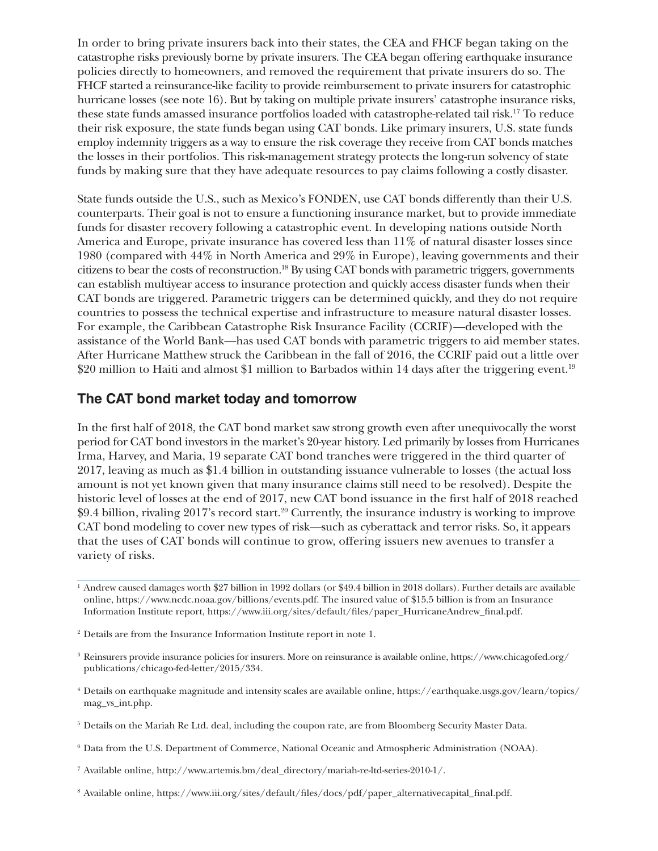In order to bring private insurers back into their states, the CEA and FHCF began taking on the catastrophe risks previously borne by private insurers. The CEA began offering earthquake insurance policies directly to homeowners, and removed the requirement that private insurers do so. The FHCF started a reinsurance-like facility to provide reimbursement to private insurers for catastrophic hurricane losses (see note 16). But by taking on multiple private insurers' catastrophe insurance risks, these state funds amassed insurance portfolios loaded with catastrophe-related tail risk.17 To reduce their risk exposure, the state funds began using CAT bonds. Like primary insurers, U.S. state funds employ indemnity triggers as a way to ensure the risk coverage they receive from CAT bonds matches the losses in their portfolios. This risk-management strategy protects the long-run solvency of state funds by making sure that they have adequate resources to pay claims following a costly disaster.

State funds outside the U.S., such as Mexico's FONDEN, use CAT bonds differently than their U.S. counterparts. Their goal is not to ensure a functioning insurance market, but to provide immediate funds for disaster recovery following a catastrophic event. In developing nations outside North America and Europe, private insurance has covered less than 11% of natural disaster losses since 1980 (compared with 44% in North America and 29% in Europe), leaving governments and their citizens to bear the costs of reconstruction.18 By using CAT bonds with parametric triggers, governments can establish multiyear access to insurance protection and quickly access disaster funds when their CAT bonds are triggered. Parametric triggers can be determined quickly, and they do not require countries to possess the technical expertise and infrastructure to measure natural disaster losses. For example, the Caribbean Catastrophe Risk Insurance Facility (CCRIF)—developed with the assistance of the World Bank—has used CAT bonds with parametric triggers to aid member states. After Hurricane Matthew struck the Caribbean in the fall of 2016, the CCRIF paid out a little over \$20 million to Haiti and almost \$1 million to Barbados within 14 days after the triggering event.<sup>19</sup>

#### **The CAT bond market today and tomorrow**

In the first half of 2018, the CAT bond market saw strong growth even after unequivocally the worst period for CAT bond investors in the market's 20-year history. Led primarily by losses from Hurricanes Irma, Harvey, and Maria, 19 separate CAT bond tranches were triggered in the third quarter of 2017, leaving as much as \$1.4 billion in outstanding issuance vulnerable to losses (the actual loss amount is not yet known given that many insurance claims still need to be resolved). Despite the historic level of losses at the end of 2017, new CAT bond issuance in the first half of 2018 reached \$9.4 billion, rivaling 2017's record start.20 Currently, the insurance industry is working to improve CAT bond modeling to cover new types of risk—such as cyberattack and terror risks. So, it appears that the uses of CAT bonds will continue to grow, offering issuers new avenues to transfer a variety of risks.

- <sup>3</sup> Reinsurers provide insurance policies for insurers. More on reinsurance is available online, [https://www.chicagofed.org/](https://www.chicagofed.org/publications/chicago-fed-letter/2015/334) [publications/chicago-fed-letter/2015/334.](https://www.chicagofed.org/publications/chicago-fed-letter/2015/334)
- <sup>4</sup> Details on earthquake magnitude and intensity scales are available online, [https://earthquake.usgs.gov/learn/topics/](https://earthquake.usgs.gov/learn/topics/mag_vs_int.php) [mag\\_vs\\_int.php.](https://earthquake.usgs.gov/learn/topics/mag_vs_int.php)
- <sup>5</sup> Details on the Mariah Re Ltd. deal, including the coupon rate, are from Bloomberg Security Master Data.
- <sup>6</sup> Data from the U.S. Department of Commerce, National Oceanic and Atmospheric Administration (NOAA).
- <sup>7</sup> Available online, [http://www.artemis.bm/deal\\_directory/mariah-re-ltd-series-2010-1/](http://www.artemis.bm/deal_directory/mariah-re-ltd-series-2010-1/).
- <sup>8</sup> Available online, [https://www.iii.org/sites/default/files/docs/pdf/paper\\_alternativecapital\\_final.pdf.](https://www.iii.org/sites/default/files/docs/pdf/paper_alternativecapital_final.pdf)

<sup>1</sup> Andrew caused damages worth \$27 billion in 1992 dollars (or \$49.4 billion in 2018 dollars). Further details are available online, [https://www.ncdc.noaa.gov/billions/events.pdf.](https://www.ncdc.noaa.gov/billions/events.pdf) The insured value of \$15.5 billion is from an Insurance Information Institute report, [https://www.iii.org/sites/default/files/paper\\_HurricaneAndrew\\_final.pdf](https://www.iii.org/sites/default/files/paper_HurricaneAndrew_final.pdf).

<sup>&</sup>lt;sup>2</sup> Details are from the Insurance Information Institute report in note 1.